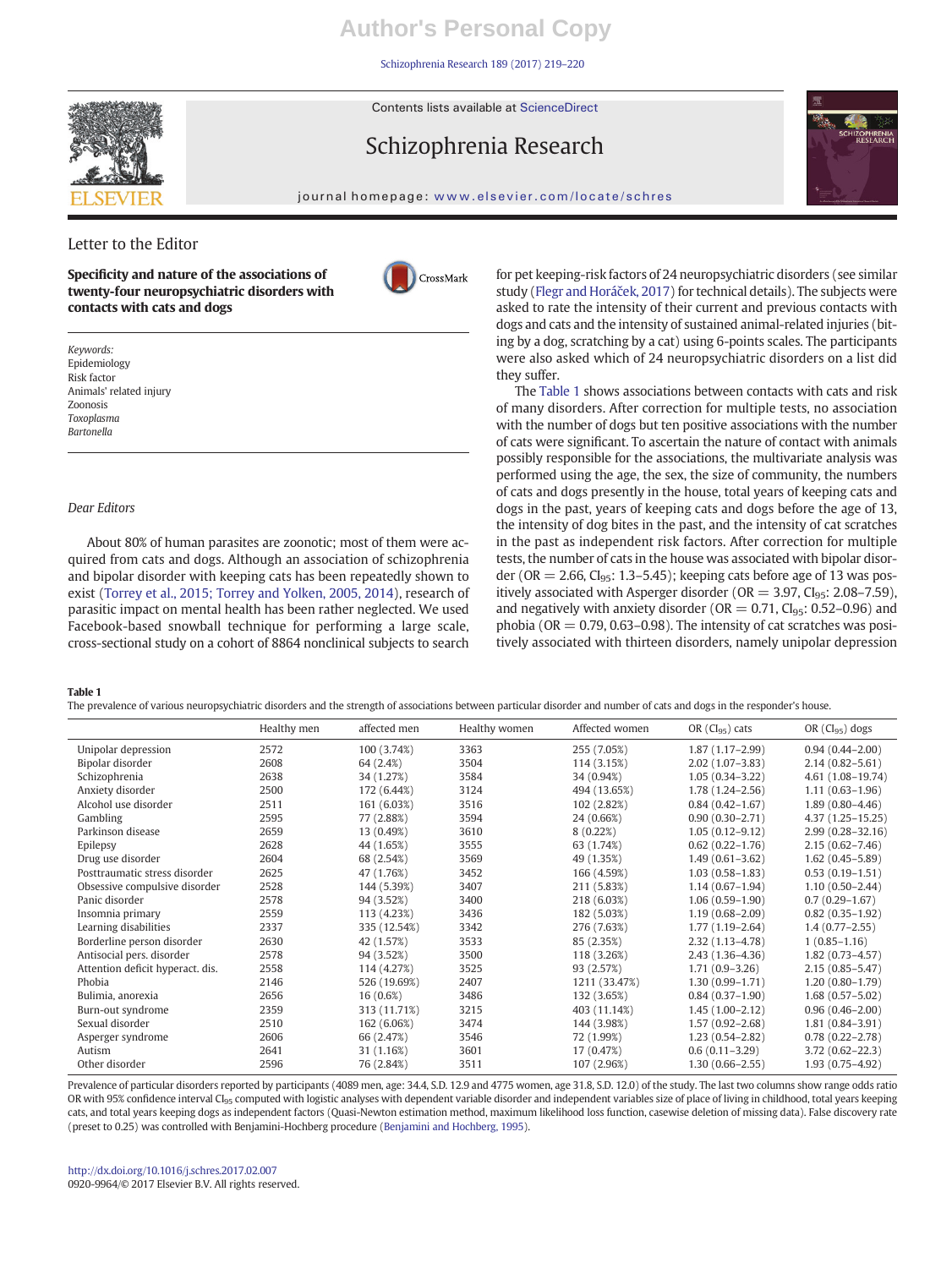[Schizophrenia Research 189 \(2017\) 219](http://dx.doi.org/10.1016/j.schres.2017.02.007)–220

Contents lists available at ScienceDirect

# Schizophrenia Research



journal homepage: <www.elsevier.com/locate/schres>

CrossMark

# Letter to the Editor

Specificity and nature of the associations of twenty-four neuropsychiatric disorders with contacts with cats and dogs

Keywords: Epidemiology Risk factor Animals' related injury Zoonosis Toxoplasma Bartonella

# Dear Editors

About 80% of human parasites are zoonotic; most of them were acquired from cats and dogs. Although an association of schizophrenia and bipolar disorder with keeping cats has been repeatedly shown to exist [\(Torrey et al., 2015; Torrey and Yolken, 2005, 2014](#page-1-0)), research of parasitic impact on mental health has been rather neglected. We used Facebook-based snowball technique for performing a large scale, cross-sectional study on a cohort of 8864 nonclinical subjects to search

for pet keeping-risk factors of 24 neuropsychiatric disorders (see similar study [\(Flegr and Horá](#page-1-0)ček, 2017) for technical details). The subjects were asked to rate the intensity of their current and previous contacts with dogs and cats and the intensity of sustained animal-related injuries (biting by a dog, scratching by a cat) using 6-points scales. The participants were also asked which of 24 neuropsychiatric disorders on a list did they suffer.

The Table 1 shows associations between contacts with cats and risk of many disorders. After correction for multiple tests, no association with the number of dogs but ten positive associations with the number of cats were significant. To ascertain the nature of contact with animals possibly responsible for the associations, the multivariate analysis was performed using the age, the sex, the size of community, the numbers of cats and dogs presently in the house, total years of keeping cats and dogs in the past, years of keeping cats and dogs before the age of 13, the intensity of dog bites in the past, and the intensity of cat scratches in the past as independent risk factors. After correction for multiple tests, the number of cats in the house was associated with bipolar disorder (OR  $= 2.66$ , Cl<sub>95</sub>: 1.3–5.45); keeping cats before age of 13 was positively associated with Asperger disorder ( $OR = 3.97$ ,  $Cl<sub>95</sub>$ ; 2.08–7.59), and negatively with anxiety disorder ( $OR = 0.71$ ,  $CI_{95}$ ; 0.52–0.96) and phobia ( $OR = 0.79, 0.63-0.98$ ). The intensity of cat scratches was positively associated with thirteen disorders, namely unipolar depression

## Table 1

The prevalence of various neuropsychiatric disorders and the strength of associations between particular disorder and number of cats and dogs in the responder's house.

|                                  | Healthy men | affected men | Healthy women | Affected women | OR $(Cl_{95})$ cats | OR $(Cl_{95})$ dogs  |
|----------------------------------|-------------|--------------|---------------|----------------|---------------------|----------------------|
| Unipolar depression              | 2572        | 100 (3.74%)  | 3363          | 255 (7.05%)    | $1.87(1.17-2.99)$   | $0.94(0.44 - 2.00)$  |
| Bipolar disorder                 | 2608        | 64 (2.4%)    | 3504          | 114 (3.15%)    | $2.02(1.07-3.83)$   | $2.14(0.82 - 5.61)$  |
| Schizophrenia                    | 2638        | 34 (1.27%)   | 3584          | 34 (0.94%)     | $1.05(0.34-3.22)$   | 4.61 (1.08-19.74)    |
| Anxiety disorder                 | 2500        | 172 (6.44%)  | 3124          | 494 (13.65%)   | $1.78(1.24 - 2.56)$ | $1.11(0.63 - 1.96)$  |
| Alcohol use disorder             | 2511        | 161 (6.03%)  | 3516          | 102 (2.82%)    | $0.84(0.42 - 1.67)$ | $1.89(0.80-4.46)$    |
| Gambling                         | 2595        | 77 (2.88%)   | 3594          | 24 (0.66%)     | $0.90(0.30 - 2.71)$ | 4.37 (1.25 - 15.25)  |
| Parkinson disease                | 2659        | 13 (0.49%)   | 3610          | 8(0.22%)       | $1.05(0.12 - 9.12)$ | $2.99(0.28 - 32.16)$ |
| Epilepsy                         | 2628        | 44 (1.65%)   | 3555          | 63 (1.74%)     | $0.62(0.22 - 1.76)$ | $2.15(0.62 - 7.46)$  |
| Drug use disorder                | 2604        | 68 (2.54%)   | 3569          | 49 (1.35%)     | $1.49(0.61 - 3.62)$ | $1.62(0.45-5.89)$    |
| Posttraumatic stress disorder    | 2625        | 47 (1.76%)   | 3452          | 166 (4.59%)    | $1.03(0.58 - 1.83)$ | $0.53(0.19-1.51)$    |
| Obsessive compulsive disorder    | 2528        | 144 (5.39%)  | 3407          | 211 (5.83%)    | $1.14(0.67-1.94)$   | $1.10(0.50 - 2.44)$  |
| Panic disorder                   | 2578        | 94 (3.52%)   | 3400          | 218 (6.03%)    | $1.06(0.59-1.90)$   | $0.7(0.29 - 1.67)$   |
| Insomnia primary                 | 2559        | 113 (4.23%)  | 3436          | 182 (5.03%)    | $1.19(0.68 - 2.09)$ | $0.82(0.35-1.92)$    |
| Learning disabilities            | 2337        | 335 (12.54%) | 3342          | 276 (7.63%)    | $1.77(1.19-2.64)$   | $1.4(0.77-2.55)$     |
| Borderline person disorder       | 2630        | 42 (1.57%)   | 3533          | 85 (2.35%)     | $2.32(1.13 - 4.78)$ | $1(0.85 - 1.16)$     |
| Antisocial pers, disorder        | 2578        | 94 (3.52%)   | 3500          | 118 (3.26%)    | $2.43(1.36-4.36)$   | $1.82(0.73 - 4.57)$  |
| Attention deficit hyperact, dis. | 2558        | 114 (4.27%)  | 3525          | 93 (2.57%)     | $1.71(0.9 - 3.26)$  | $2.15(0.85 - 5.47)$  |
| Phobia                           | 2146        | 526 (19.69%) | 2407          | 1211 (33.47%)  | $1.30(0.99 - 1.71)$ | $1.20(0.80-1.79)$    |
| Bulimia, anorexia                | 2656        | $16(0.6\%)$  | 3486          | 132 (3.65%)    | $0.84(0.37-1.90)$   | $1.68(0.57-5.02)$    |
| Burn-out syndrome                | 2359        | 313 (11.71%) | 3215          | 403 (11.14%)   | $1.45(1.00-2.12)$   | $0.96(0.46 - 2.00)$  |
| Sexual disorder                  | 2510        | 162 (6.06%)  | 3474          | 144 (3.98%)    | $1.57(0.92 - 2.68)$ | $1.81(0.84 - 3.91)$  |
| Asperger syndrome                | 2606        | 66 (2.47%)   | 3546          | 72 (1.99%)     | $1.23(0.54 - 2.82)$ | $0.78(0.22 - 2.78)$  |
| Autism                           | 2641        | 31 (1.16%)   | 3601          | 17 (0.47%)     | $0.6(0.11-3.29)$    | $3.72(0.62 - 22.3)$  |
| Other disorder                   | 2596        | 76 (2.84%)   | 3511          | 107 (2.96%)    | $1.30(0.66 - 2.55)$ | $1.93(0.75 - 4.92)$  |

Prevalence of particular disorders reported by participants (4089 men, age: 34.4, S.D. 12.9 and 4775 women, age 31.8, S.D. 12.0) of the study. The last two columns show range odds ratio OR with 95% confidence interval Cl<sub>95</sub> computed with logistic analyses with dependent variable disorder and independent variables size of place of living in childhood, total years keeping cats, and total years keeping dogs as independent factors (Quasi-Newton estimation method, maximum likelihood loss function, casewise deletion of missing data). False discovery rate (preset to 0.25) was controlled with Benjamini-Hochberg procedure [\(Benjamini and Hochberg, 1995\)](#page-1-0).